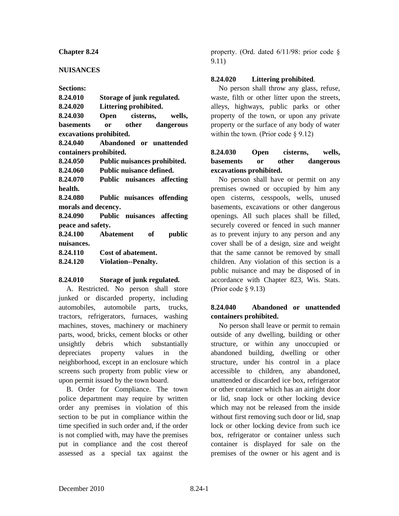#### **Chapter 8.24**

#### **NUISANCES**

**Sections:**

| 8.24.010                | Storage of junk regulated.            |  |
|-------------------------|---------------------------------------|--|
| 8.24.020                | Littering prohibited.                 |  |
| 8.24.030                | Open cisterns, wells,                 |  |
| basements               | or other dangerous                    |  |
| excavations prohibited. |                                       |  |
| 8.24.040                | Abandoned or unattended               |  |
| containers prohibited.  |                                       |  |
|                         | 8.24.050 Public nuisances prohibited. |  |
| 8.24.060                | Public nuisance defined.              |  |
| 8.24.070                | Public nuisances affecting            |  |
| health.                 |                                       |  |
| 8.24.080                | Public nuisances offending            |  |
| morals and decency.     |                                       |  |
| 8.24.090                | Public nuisances affecting            |  |
| peace and safety.       |                                       |  |
| 8.24.100                | Abatement of<br>public                |  |
| nuisances.              |                                       |  |
| 8.24.110                | Cost of abatement.                    |  |
| 8.24.120                | <b>Violation--Penalty.</b>            |  |
|                         |                                       |  |

#### **8.24.010 Storage of junk regulated.**

A. Restricted. No person shall store junked or discarded property, including automobiles, automobile parts, trucks, tractors, refrigerators, furnaces, washing machines, stoves, machinery or machinery parts, wood, bricks, cement blocks or other unsightly debris which substantially depreciates property values in the neighborhood, except in an enclosure which screens such property from public view or upon permit issued by the town board.

B. Order for Compliance. The town police department may require by written order any premises in violation of this section to be put in compliance within the time specified in such order and, if the order is not complied with, may have the premises put in compliance and the cost thereof assessed as a special tax against the

property. (Ord. dated 6/11/98: prior code § 9.11)

#### **8.24.020 Littering prohibited**.

No person shall throw any glass, refuse, waste, filth or other litter upon the streets, alleys, highways, public parks or other property of the town, or upon any private property or the surface of any body of water within the town. (Prior code  $\S$  9.12)

# **8.24.030 Open cisterns, wells, basements or other dangerous excavations prohibited.**

No person shall have or permit on any premises owned or occupied by him any open cisterns, cesspools, wells, unused basements, excavations or other dangerous openings. All such places shall be filled, securely covered or fenced in such manner as to prevent injury to any person and any cover shall be of a design, size and weight that the same cannot be removed by small children. Any violation of this section is a public nuisance and may be disposed of in accordance with Chapter 823, Wis. Stats. (Prior code § 9.13)

#### **8.24.040 Abandoned or unattended containers prohibited.**

No person shall leave or permit to remain outside of any dwelling, building or other structure, or within any unoccupied or abandoned building, dwelling or other structure, under his control in a place accessible to children, any abandoned, unattended or discarded ice box, refrigerator or other container which has an airtight door or lid, snap lock or other locking device which may not be released from the inside without first removing such door or lid, snap lock or other locking device from such ice box, refrigerator or container unless such container is displayed for sale on the premises of the owner or his agent and is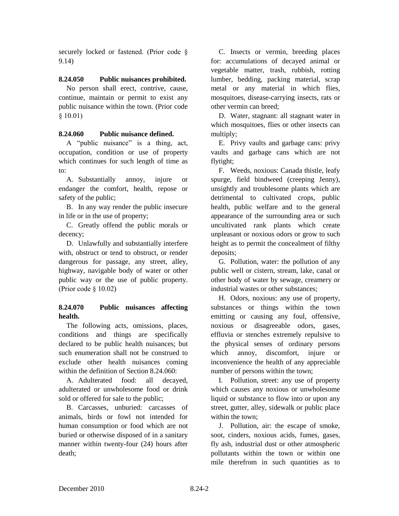securely locked or fastened. (Prior code § 9.14)

# **8.24.050 Public nuisances prohibited.**

No person shall erect, contrive, cause, continue, maintain or permit to exist any public nuisance within the town. (Prior code § 10.01)

# **8.24.060 Public nuisance defined.**

A "public nuisance" is a thing, act, occupation, condition or use of property which continues for such length of time as to:

A. Substantially annoy, injure or endanger the comfort, health, repose or safety of the public;

B. In any way render the public insecure in life or in the use of property;

C. Greatly offend the public morals or decency;

D. Unlawfully and substantially interfere with, obstruct or tend to obstruct, or render dangerous for passage, any street, alley, highway, navigable body of water or other public way or the use of public property. (Prior code § 10.02)

# **8.24.070 Public nuisances affecting health.**

The following acts, omissions, places, conditions and things are specifically declared to be public health nuisances; but such enumeration shall not be construed to exclude other health nuisances coming within the definition of Section 8.24.060:

A. Adulterated food: all decayed, adulterated or unwholesome food or drink sold or offered for sale to the public;

B. Carcasses, unburied: carcasses of animals, birds or fowl not intended for human consumption or food which are not buried or otherwise disposed of in a sanitary manner within twenty-four (24) hours after death;

C. Insects or vermin, breeding places for: accumulations of decayed animal or vegetable matter, trash, rubbish, rotting lumber, bedding, packing material, scrap metal or any material in which flies, mosquitoes, disease-carrying insects, rats or other vermin can breed;

D. Water, stagnant: all stagnant water in which mosquitoes, flies or other insects can multiply;

E. Privy vaults and garbage cans: privy vaults and garbage cans which are not flytight;

F. Weeds, noxious: Canada thistle, leafy spurge, field bindweed (creeping Jenny), unsightly and troublesome plants which are detrimental to cultivated crops, public health, public welfare and to the general appearance of the surrounding area or such uncultivated rank plants which create unpleasant or noxious odors or grow to such height as to permit the concealment of filthy deposits;

G. Pollution, water: the pollution of any public well or cistern, stream, lake, canal or other body of water by sewage, creamery or industrial wastes or other substances;

H. Odors, noxious: any use of property, substances or things within the town emitting or causing any foul, offensive, noxious or disagreeable odors, gases, effluvia or stenches extremely repulsive to the physical senses of ordinary persons which annoy, discomfort, injure or inconvenience the health of any appreciable number of persons within the town;

I. Pollution, street: any use of property which causes any noxious or unwholesome liquid or substance to flow into or upon any street, gutter, alley, sidewalk or public place within the town;

J. Pollution, air: the escape of smoke, soot, cinders, noxious acids, fumes, gases, fly ash, industrial dust or other atmospheric pollutants within the town or within one mile therefrom in such quantities as to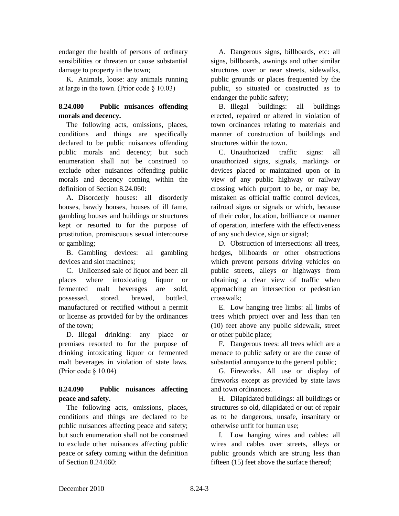endanger the health of persons of ordinary sensibilities or threaten or cause substantial damage to property in the town;

K. Animals, loose: any animals running at large in the town. (Prior code  $\S$  10.03)

# **8.24.080 Public nuisances offending morals and decency.**

The following acts, omissions, places, conditions and things are specifically declared to be public nuisances offending public morals and decency; but such enumeration shall not be construed to exclude other nuisances offending public morals and decency coming within the definition of Section 8.24.060:

A. Disorderly houses: all disorderly houses, bawdy houses, houses of ill fame, gambling houses and buildings or structures kept or resorted to for the purpose of prostitution, promiscuous sexual intercourse or gambling;

B. Gambling devices: all gambling devices and slot machines;

C. Unlicensed sale of liquor and beer: all places where intoxicating liquor or fermented malt beverages are sold, possessed, stored, brewed, bottled, manufactured or rectified without a permit or license as provided for by the ordinances of the town;

D. Illegal drinking: any place or premises resorted to for the purpose of drinking intoxicating liquor or fermented malt beverages in violation of state laws. (Prior code § 10.04)

# **8.24.090 Public nuisances affecting peace and safety.**

The following acts, omissions, places, conditions and things are declared to be public nuisances affecting peace and safety; but such enumeration shall not be construed to exclude other nuisances affecting public peace or safety coming within the definition of Section 8.24.060:

A. Dangerous signs, billboards, etc: all signs, billboards, awnings and other similar structures over or near streets, sidewalks, public grounds or places frequented by the public, so situated or constructed as to endanger the public safety;

B. Illegal buildings: all buildings erected, repaired or altered in violation of town ordinances relating to materials and manner of construction of buildings and structures within the town.

C. Unauthorized traffic signs: all unauthorized signs, signals, markings or devices placed or maintained upon or in view of any public highway or railway crossing which purport to be, or may be, mistaken as official traffic control devices, railroad signs or signals or which, because of their color, location, brilliance or manner of operation, interfere with the effectiveness of any such device, sign or signal;

D. Obstruction of intersections: all trees, hedges, billboards or other obstructions which prevent persons driving vehicles on public streets, alleys or highways from obtaining a clear view of traffic when approaching an intersection or pedestrian crosswalk;

E. Low hanging tree limbs: all limbs of trees which project over and less than ten (10) feet above any public sidewalk, street or other public place;

F. Dangerous trees: all trees which are a menace to public safety or are the cause of substantial annoyance to the general public;

G. Fireworks. All use or display of fireworks except as provided by state laws and town ordinances.

H. Dilapidated buildings: all buildings or structures so old, dilapidated or out of repair as to be dangerous, unsafe, insanitary or otherwise unfit for human use;

I. Low hanging wires and cables: all wires and cables over streets, alleys or public grounds which are strung less than fifteen (15) feet above the surface thereof;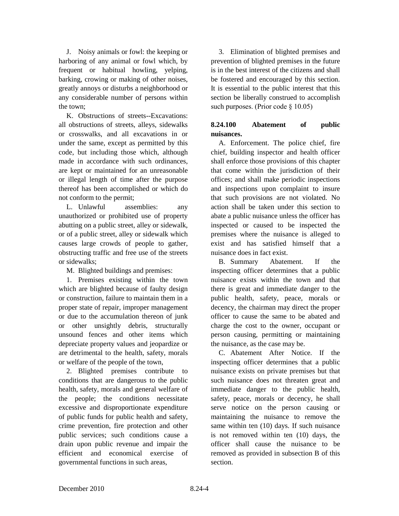J. Noisy animals or fowl: the keeping or harboring of any animal or fowl which, by frequent or habitual howling, yelping, barking, crowing or making of other noises, greatly annoys or disturbs a neighborhood or any considerable number of persons within the town;

K. Obstructions of streets--Excavations: all obstructions of streets, alleys, sidewalks or crosswalks, and all excavations in or under the same, except as permitted by this code, but including those which, although made in accordance with such ordinances, are kept or maintained for an unreasonable or illegal length of time after the purpose thereof has been accomplished or which do not conform to the permit;

L. Unlawful assemblies: any unauthorized or prohibited use of property abutting on a public street, alley or sidewalk, or of a public street, alley or sidewalk which causes large crowds of people to gather, obstructing traffic and free use of the streets or sidewalks;

M. Blighted buildings and premises:

1. Premises existing within the town which are blighted because of faulty design or construction, failure to maintain them in a proper state of repair, improper management or due to the accumulation thereon of junk or other unsightly debris, structurally unsound fences and other items which depreciate property values and jeopardize or are detrimental to the health, safety, morals or welfare of the people of the town,

2. Blighted premises contribute to conditions that are dangerous to the public health, safety, morals and general welfare of the people; the conditions necessitate excessive and disproportionate expenditure of public funds for public health and safety, crime prevention, fire protection and other public services; such conditions cause a drain upon public revenue and impair the efficient and economical exercise of governmental functions in such areas,

3. Elimination of blighted premises and prevention of blighted premises in the future is in the best interest of the citizens and shall be fostered and encouraged by this section. It is essential to the public interest that this section be liberally construed to accomplish such purposes. (Prior code § 10.05)

# **8.24.100 Abatement of public nuisances.**

A. Enforcement. The police chief, fire chief, building inspector and health officer shall enforce those provisions of this chapter that come within the jurisdiction of their offices; and shall make periodic inspections and inspections upon complaint to insure that such provisions are not violated. No action shall be taken under this section to abate a public nuisance unless the officer has inspected or caused to be inspected the premises where the nuisance is alleged to exist and has satisfied himself that a nuisance does in fact exist.

B. Summary Abatement. If the inspecting officer determines that a public nuisance exists within the town and that there is great and immediate danger to the public health, safety, peace, morals or decency, the chairman may direct the proper officer to cause the same to be abated and charge the cost to the owner, occupant or person causing, permitting or maintaining the nuisance, as the case may be.

C. Abatement After Notice. If the inspecting officer determines that a public nuisance exists on private premises but that such nuisance does not threaten great and immediate danger to the public health, safety, peace, morals or decency, he shall serve notice on the person causing or maintaining the nuisance to remove the same within ten (10) days. If such nuisance is not removed within ten (10) days, the officer shall cause the nuisance to be removed as provided in subsection B of this section.